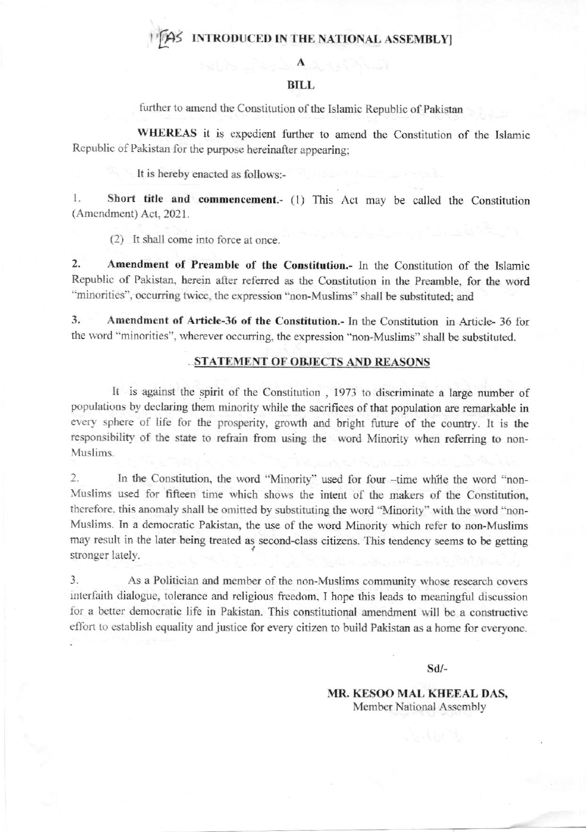## AS INTRODUCED IN THE NATIONAL ASSEMBLY

## **BILL**

further to amend the Constitution of the Islamic Republic of Pakistan

WHEREAS it is expedient further to amend the Constitution of the Islamic Republic of Pakistan for the purpose hereinafter appearing;

It is hereby enacted as follows:-

Short title and commencement.- (1) This Act may be called the Constitution 1. (Amendment) Act, 2021.

(2) It shall come into force at once.

 $2.$ Amendment of Preamble of the Constitution.- In the Constitution of the Islamic Republic of Pakistan, herein after referred as the Constitution in the Preamble, for the word "minorities", occurring twice, the expression "non-Muslims" shall be substituted; and

Amendment of Article-36 of the Constitution.- In the Constitution in Article-36 for 3. the word "minorities", wherever occurring, the expression "non-Muslims" shall be substituted.

#### STATEMENT OF OBJECTS AND REASONS

It is against the spirit of the Constitution, 1973 to discriminate a large number of populations by declaring them minority while the sacrifices of that population are remarkable in every sphere of life for the prosperity, growth and bright future of the country. It is the responsibility of the state to refrain from using the word Minority when referring to non-Muslims.

 $\overline{2}$ . In the Constitution, the word "Minority" used for four --time while the word "non-Muslims used for fifteen time which shows the intent of the makers of the Constitution, therefore, this anomaly shall be omitted by substituting the word "Minority" with the word "non-Muslims. In a democratic Pakistan, the use of the word Minority which refer to non-Muslims may result in the later being treated as second-class citizens. This tendency seems to be getting stronger lately.

 $\overline{3}$ . As a Politician and member of the non-Muslims community whose research covers interfaith dialogue, tolerance and religious freedom, I hope this leads to meaningful discussion for a better democratic life in Pakistan. This constitutional amendment will be a constructive effort to establish equality and justice for every citizen to build Pakistan as a home for everyone.

 $Sd/-$ 

MR. KESOO MAL KHEEAL DAS, Member National Assembly